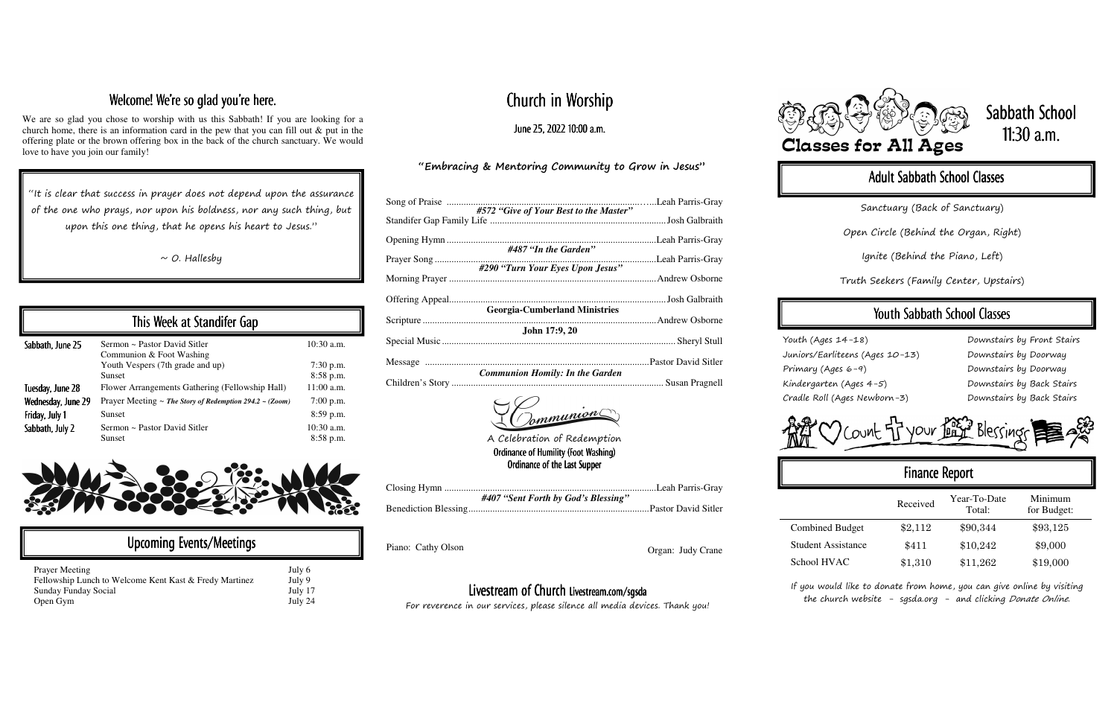# Church in Worship

June 25, 2022 10:00 a.m.

#### "Embracing & Mentoring Community to Grow in Jesus"

| #572 "Give of Your Best to the Master" |  |
|----------------------------------------|--|
| #487 "In the Garden"                   |  |
|                                        |  |
| #290 "Turn Your Eyes Upon Jesus"       |  |
|                                        |  |
| <b>Georgia-Cumberland Ministries</b>   |  |
| John 17:9, 20                          |  |
|                                        |  |
|                                        |  |
| <b>Communion Homily: In the Garden</b> |  |
| Tommunion                              |  |

| #407 "Sent Forth by God's Blessing" |
|-------------------------------------|
|                                     |

Piano: Cathy Olson Organ: Judy Crane

## Welcome! We're so glad you're here.

We are so glad you chose to worship with us this Sabbath! If you are looking for a church home, there is an information card in the pew that you can fill out & put in the offering plate or the brown offering box in the back of the church sanctuary. We would love to have you join our family!

"It is clear that success in prayer does not depend upon the assurance of the one who prays, nor upon his boldness, nor any such thing, but upon this one thing, that he opens his heart to Jesus."

 $\sim$  O. Hallesby

If you would like to donate from home, you can give online by visiting the church website - sgsda.org - and clicking Donate Online.

# Sabbath School 11:30 a.m.

## Adult Sabbath School Classes

|                    | This Week at Standifer Gap                                        |                           |
|--------------------|-------------------------------------------------------------------|---------------------------|
| Sabbath, June 25   | Sermon ~ Pastor David Sitler<br>Communion & Foot Washing          | $10:30$ a.m.              |
|                    | Youth Vespers (7th grade and up)<br><b>Sunset</b>                 | $7:30$ p.m.<br>8:58 p.m.  |
| Tuesday, June 28   | Flower Arrangements Gathering (Fellowship Hall)                   | $11:00$ a.m.              |
| Wednesday, June 29 | Prayer Meeting $\sim$ The Story of Redemption 294.2 $\sim$ (Zoom) | $7:00$ p.m.               |
| Friday, July 1     | <b>Sunset</b>                                                     | 8:59 p.m.                 |
| Sabbath, July 2    | Sermon ~ Pastor David Sitler<br>Sunset                            | 10:30 a.m.<br>$8:58$ p.m. |



| Upcoming Events/Meetings                                                                                |                             |
|---------------------------------------------------------------------------------------------------------|-----------------------------|
| <b>Prayer Meeting</b><br>Fellowship Lunch to Welcome Kent Kast & Fredy Martinez<br>Sunday Funday Social | July 6<br>July 9<br>July 17 |
| Open Gym                                                                                                | July 24                     |

Sanctuary (Back of Sanctuary)

Open Circle (Behind the Organ, Right)

Ignite (Behind the Piano, Left)

Truth Seekers (Family Center, Upstairs)

## Youth Sabbath School Classes

Youth (Ages 14-18) Juniors/Earliteens (Ages 10-13) Primary (Ages 6-9) Kindergarten (Ages 4-5) Cradle Roll (Ages Newborn-3)

| Downstairs by Front Stairs |
|----------------------------|
| Downstairs by Doorway      |
| Downstairs by Doorway      |
| Downstairs by Back Stairs  |
| Downstairs by Back Stairs  |



# Finance Report Received Year-To-Date Minimum<br>Total: for Budget: Combined Budget  $$2,112$   $$90,344$   $$93,125$ Student Assistance  $$411$   $$10,242$   $$9,000$ School HVAC \$1,310 \$11,262 \$19,000

#### Livestream of Church Livestream.com/sgsda Livestream.com/sgsda

For reverence in our services, please silence all media devices. Thank you!









A Celebration of Redemption Ordinance of Humility (Foot Washing) Ordinance of the Last Supper